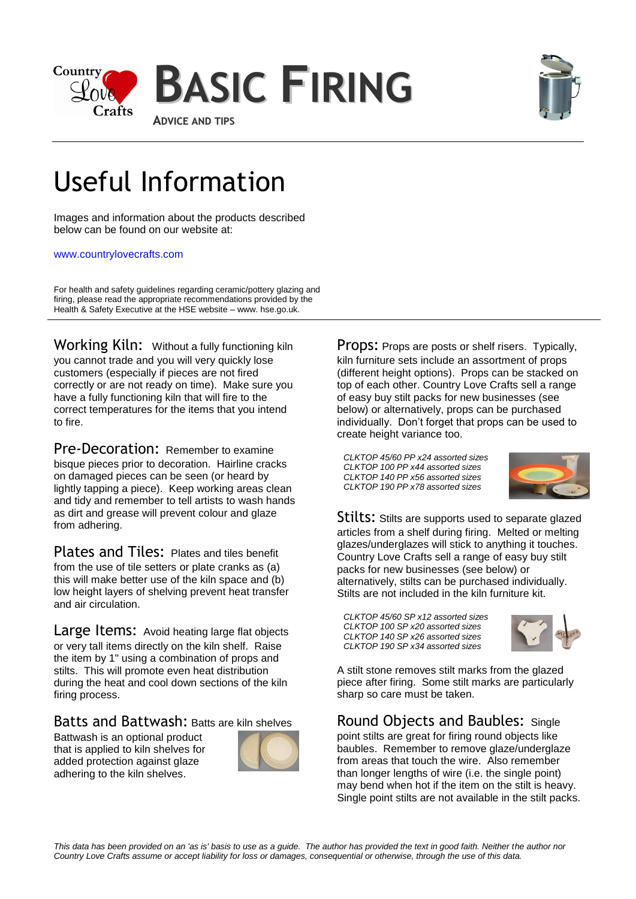



# Useful Information

Images and information about the products described below can be found on our website at:

#### [www.countrylovecrafts.com](http://www.countrylovecrafts.com/)

For health and safety guidelines regarding ceramic/pottery glazing and firing, please read the appropriate recommendations provided by the Health & Safety Executive at the HSE website – www. hse.go.uk.

Working Kiln: Without a fully functioning kiln you cannot trade and you will very quickly lose customers (especially if pieces are not fired correctly or are not ready on time). Make sure you have a fully functioning kiln that will fire to the correct temperatures for the items that you intend to fire.

Pre-Decoration: Remember to examine bisque pieces prior to decoration. Hairline cracks on damaged pieces can be seen (or heard by lightly tapping a piece). Keep working areas clean and tidy and remember to tell artists to wash hands as dirt and grease will prevent colour and glaze from adhering.

Plates and Tiles: Plates and tiles benefit from the use of tile setters or plate cranks as (a) this will make better use of the kiln space and (b) low height layers of shelving prevent heat transfer and air circulation.

Large Items: Avoid heating large flat objects or very tall items directly on the kiln shelf. Raise the item by 1" using a combination of props and stilts. This will promote even heat distribution during the heat and cool down sections of the kiln firing process.

### Batts and Battwash: Batts are kiln shelves

Battwash is an optional product that is applied to kiln shelves for added protection against glaze adhering to the kiln shelves.



Props: Props are posts or shelf risers. Typically, kiln furniture sets include an assortment of props (different height options). Props can be stacked on top of each other. Country Love Crafts sell a range of easy buy stilt packs for new businesses (see below) or alternatively, props can be purchased individually. Don't forget that props can be used to create height variance too.

*CLKTOP 45/60 PP x24 assorted sizes CLKTOP 100 PP x44 assorted sizes CLKTOP 140 PP x56 assorted sizes CLKTOP 190 PP x78 assorted sizes*



Stilts: Stilts are supports used to separate glazed articles from a shelf during firing. Melted or melting glazes/underglazes will stick to anything it touches. Country Love Crafts sell a range of easy buy stilt packs for new businesses (see below) or alternatively, stilts can be purchased individually. Stilts are not included in the kiln furniture kit.

*CLKTOP 45/60 SP x12 assorted sizes CLKTOP 100 SP x20 assorted sizes CLKTOP 140 SP x26 assorted sizes CLKTOP 190 SP x34 assorted sizes*



A stilt stone removes stilt marks from the glazed piece after firing. Some stilt marks are particularly sharp so care must be taken.

Round Objects and Baubles:Single point stilts are great for firing round objects like baubles. Remember to remove glaze/underglaze from areas that touch the wire. Also remember than longer lengths of wire (i.e. the single point) may bend when hot if the item on the stilt is heavy. Single point stilts are not available in the stilt packs.